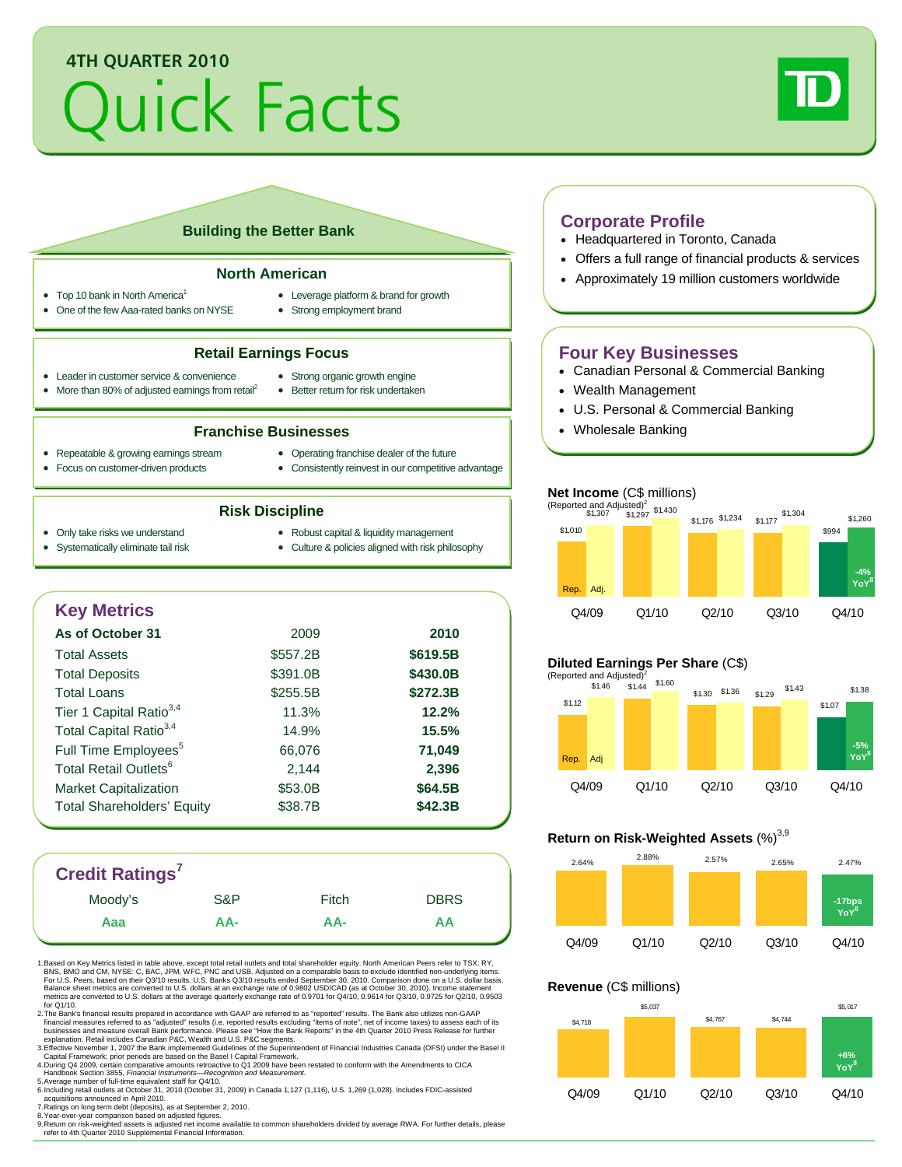# **4TH QUARTER 2010**

# Quick Facts



### **Building the Better Bank**

#### **North American**

- Top 10 bank in North America<sup>1</sup>
	- One of the few Aaa-rated banks on NYSE
- Leverage platform & brand for growth
- Strong employment brand

#### **Retail Earnings Focus**

- Leader in customer service & convenience
- More than 80% of adjusted earnings from retail<sup>2</sup>
- Strong organic growth engine • Better return for risk undertaken

#### **Franchise Businesses**

- Repeatable & growing earnings stream
- Operating franchise dealer of the future
- Focus on customer-driven products
- Consistently reinvest in our competitive advantage

#### **Risk Discipline**

- Only take risks we understand
- Robust capital & liquidity management
- Systematically eliminate tail risk
- Culture & policies aligned with risk philosophy
- 

## **Key Metrics As of October 31** 2009 **2010**  Total Assets \$557.2B **\$619.5B** Total Deposits **\$391.0B** \$430.0B Total Loans \$255.5B **\$272.3B** Tier 1 Capital Ratio3,4 11.3% **12.2%** Total Capital Ratio3,4 14.9% **15.5%** Full Time Employees<sup>5</sup> 66,076 **71,049** Total Retail Outlets<sup>6</sup> 2,144 **2,396** Market Capitalization  $$53.0B$  **\$64.5B** Total Shareholders' Equity **\$38.7B** \$42.3B

# **Credit Ratings7**

| <b>UIGUIL NATHLYS</b> |     |       |             |
|-----------------------|-----|-------|-------------|
| Moody's               | S&P | Fitch | <b>DBRS</b> |
| Ааа                   | AA- | AA-   | ΑА          |
|                       |     |       |             |

1. Based on Key Metrics listed in table above, except total retail outlets and total shareholder equity. North American Peers refer to TSX: RY, BNS, BMO and CM, NYSE: C, BAC, JPM, WFC, PNC and USB. Adjusted on a comparable basis to exclude identified non-underlying items.<br>For U.S. Peers, based on their Q3/10 results. U.S. Banks Q3/10 results ended September 30, 20 metrics are converted to U.S. dollars at the average quarterly exchange rate of 0.9701 for Q4/10, 0.9614 for Q3/10, 0.9725 for Q2/10, 0.9503 for Q1/10.

2.The Bank's financial results prepared in accordance with GAAP are referred to as "reported" results. The Bank also utilizes non-GAAP<br>financial measures referred to as "adjusted" results (i.e. reported results excluding "

3. Effective November 1, 2007 the Bank implemented Guidelines of the Superintendent of Financial Industries Canada (OFSI) under the Basel II<br>Capital Framework; prior periods are based on the Basel II Capital Framework.<br>4.

acquisitions announced in April 2010. 7. Ratings on long term debt (deposits), as at September 2, 2010. 8. Year-over-year comparison based on adjusted figures.

ailable to common shareholders divided by average RWA. For further details, please refer to 4th Quarter 2010 Supplemental Financial Information.

#### **Corporate Profile**

- Headquartered in Toronto, Canada
- Offers a full range of financial products & services
- Approximately 19 million customers worldwide

## **Four Key Businesses**

- Canadian Personal & Commercial Banking
- Wealth Management
- U.S. Personal & Commercial Banking
- Wholesale Banking

#### **Net Income** (C\$ millions)



#### **Diluted Earnings Per Share** (C\$)



#### **Return on Risk-Weighted Assets (%)**<sup>3,9</sup>



#### **Revenue** (C\$ millions)